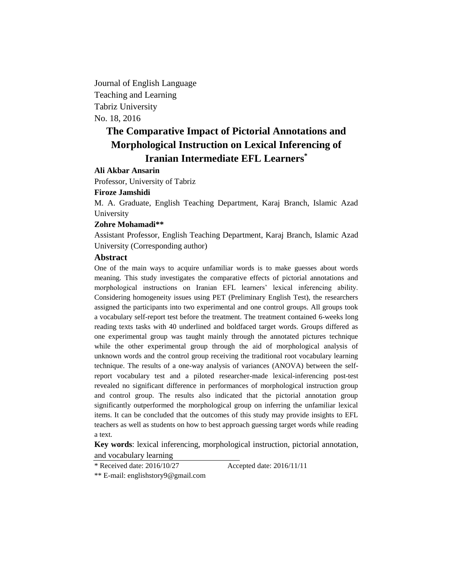Journal of English Language Teaching and Learning Tabriz University No. 18, 2016

# **The Comparative Impact of Pictorial Annotations and Morphological Instruction on Lexical Inferencing of Iranian Intermediate EFL Learners\***

# **Ali Akbar Ansarin**

Professor, University of Tabriz

# **Firoze Jamshidi**

M. A. Graduate, English Teaching Department, Karaj Branch, Islamic Azad University

#### **Zohre Mohamadi\*\***

Assistant Professor, English Teaching Department, Karaj Branch, Islamic Azad University (Corresponding author)

# **Abstract**

One of the main ways to acquire unfamiliar words is to make guesses about words meaning. This study investigates the comparative effects of pictorial annotations and morphological instructions on Iranian EFL learners' lexical inferencing ability. Considering homogeneity issues using PET (Preliminary English Test), the researchers assigned the participants into two experimental and one control groups. All groups took a vocabulary self-report test before the treatment. The treatment contained 6-weeks long reading texts tasks with 40 underlined and boldfaced target words. Groups differed as one experimental group was taught mainly through the annotated pictures technique while the other experimental group through the aid of morphological analysis of unknown words and the control group receiving the traditional root vocabulary learning technique. The results of a one-way analysis of variances (ANOVA) between the selfreport vocabulary test and a piloted researcher-made lexical-inferencing post-test revealed no significant difference in performances of morphological instruction group and control group. The results also indicated that the pictorial annotation group significantly outperformed the morphological group on inferring the unfamiliar lexical items. It can be concluded that the outcomes of this study may provide insights to EFL teachers as well as students on how to best approach guessing target words while reading a text.

**Key words**: lexical inferencing, morphological instruction, pictorial annotation, and vocabulary learning

\* Received date: 2016/10/27 Accepted date: 2016/11/11

\*\* E-mail: [englishstory9@gmail.com](mailto:englishstory9@gmail.com)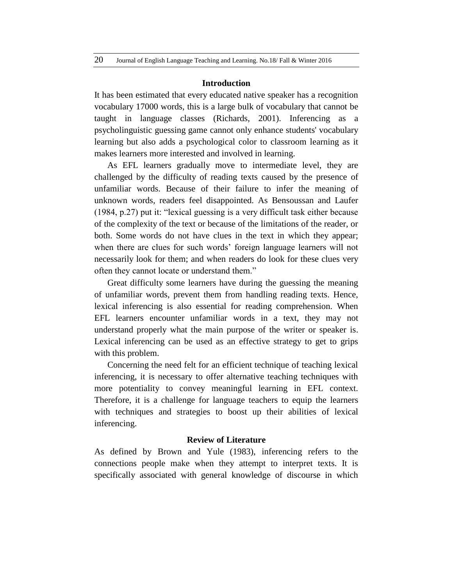#### **Introduction**

It has been estimated that every educated native speaker has a recognition vocabulary 17000 words, this is a large bulk of vocabulary that cannot be taught in language classes (Richards, 2001). Inferencing as a psycholinguistic guessing game cannot only enhance students' vocabulary learning but also adds a psychological color to classroom learning as it makes learners more interested and involved in learning.

As EFL learners gradually move to intermediate level, they are challenged by the difficulty of reading texts caused by the presence of unfamiliar words. Because of their failure to infer the meaning of unknown words, readers feel disappointed. As Bensoussan and Laufer (1984, p.27) put it: "lexical guessing is a very difficult task either because of the complexity of the text or because of the limitations of the reader, or both. Some words do not have clues in the text in which they appear; when there are clues for such words' foreign language learners will not necessarily look for them; and when readers do look for these clues very often they cannot locate or understand them."

Great difficulty some learners have during the guessing the meaning of unfamiliar words, prevent them from handling reading texts. Hence, lexical inferencing is also essential for reading comprehension. When EFL learners encounter unfamiliar words in a text, they may not understand properly what the main purpose of the writer or speaker is. Lexical inferencing can be used as an effective strategy to get to grips with this problem.

Concerning the need felt for an efficient technique of teaching lexical inferencing, it is necessary to offer alternative teaching techniques with more potentiality to convey meaningful learning in EFL context. Therefore, it is a challenge for language teachers to equip the learners with techniques and strategies to boost up their abilities of lexical inferencing.

# **Review of Literature**

As defined by Brown and Yule (1983), inferencing refers to the connections people make when they attempt to interpret texts. It is specifically associated with general knowledge of discourse in which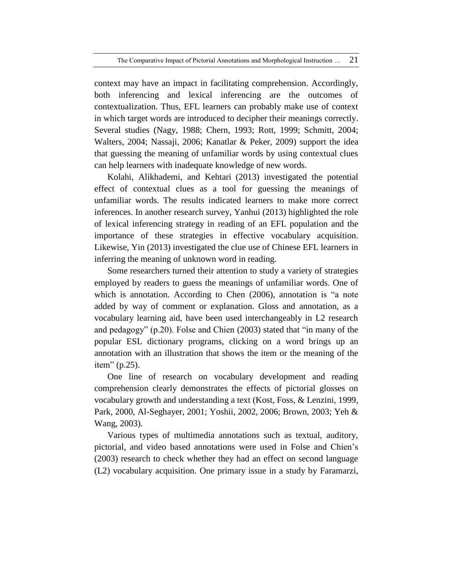context may have an impact in facilitating comprehension. Accordingly, both inferencing and lexical inferencing are the outcomes of contextualization. Thus, EFL learners can probably make use of context in which target words are introduced to decipher their meanings correctly. Several studies (Nagy, 1988; Chern, 1993; Rott, 1999; Schmitt, 2004; Walters, 2004; Nassaji, 2006; Kanatlar & Peker, 2009) support the idea that guessing the meaning of unfamiliar words by using contextual clues can help learners with inadequate knowledge of new words.

Kolahi, Alikhademi, and Kehtari (2013) investigated the potential effect of contextual clues as a tool for guessing the meanings of unfamiliar words. The results indicated learners to make more correct inferences. In another research survey, Yanhui (2013) highlighted the role of lexical inferencing strategy in reading of an EFL population and the importance of these strategies in effective vocabulary acquisition. Likewise, Yin (2013) investigated the clue use of Chinese EFL learners in inferring the meaning of unknown word in reading.

Some researchers turned their attention to study a variety of strategies employed by readers to guess the meanings of unfamiliar words. One of which is annotation. According to Chen (2006), annotation is "a note added by way of comment or explanation. Gloss and annotation, as a vocabulary learning aid, have been used interchangeably in L2 research and pedagogy" (p.20). Folse and Chien (2003) stated that "in many of the popular ESL dictionary programs, clicking on a word brings up an annotation with an illustration that shows the item or the meaning of the item" (p.25).

One line of research on vocabulary development and reading comprehension clearly demonstrates the effects of pictorial glosses on vocabulary growth and understanding a text (Kost, Foss, & Lenzini, 1999, Park, 2000, Al-Seghayer, 2001; Yoshii, 2002, 2006; Brown, 2003; Yeh & Wang, 2003).

Various types of multimedia annotations such as textual, auditory, pictorial, and video based annotations were used in Folse and Chien's (2003) research to check whether they had an effect on second language (L2) vocabulary acquisition. One primary issue in a study by Faramarzi,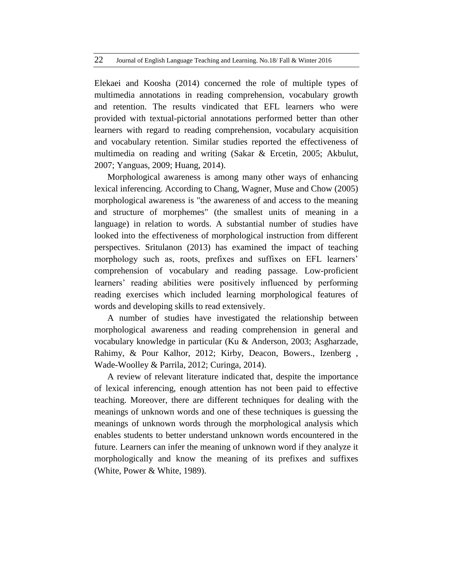#### 22 Journal of English Language Teaching and Learning. No.18/ Fall & Winter 2016

Elekaei and Koosha (2014) concerned the role of multiple types of multimedia annotations in reading comprehension, vocabulary growth and retention. The results vindicated that EFL learners who were provided with textual-pictorial annotations performed better than other learners with regard to reading comprehension, vocabulary acquisition and vocabulary retention. Similar studies reported the effectiveness of multimedia on reading and writing (Sakar & Ercetin, 2005; Akbulut, 2007; Yanguas, 2009; Huang, 2014).

Morphological awareness is among many other ways of enhancing lexical inferencing. According to Chang, Wagner, Muse and Chow (2005) morphological awareness is "the awareness of and access to the meaning and structure of morphemes" (the smallest units of meaning in a language) in relation to words. A substantial number of studies have looked into the effectiveness of morphological instruction from different perspectives. Sritulanon (2013) has examined the impact of teaching morphology such as, roots, prefixes and suffixes on EFL learners' comprehension of vocabulary and reading passage. Low-proficient learners' reading abilities were positively influenced by performing reading exercises which included learning morphological features of words and developing skills to read extensively.

A number of studies have investigated the relationship between morphological awareness and reading comprehension in general and vocabulary knowledge in particular (Ku & Anderson, 2003; Asgharzade, Rahimy, & Pour Kalhor, 2012; Kirby, Deacon, Bowers., Izenberg , Wade-Woolley & Parrila, 2012; Curinga, 2014).

A review of relevant literature indicated that, despite the importance of lexical inferencing, enough attention has not been paid to effective teaching. Moreover, there are different techniques for dealing with the meanings of unknown words and one of these techniques is guessing the meanings of unknown words through the morphological analysis which enables students to better understand unknown words encountered in the future. Learners can infer the meaning of unknown word if they analyze it morphologically and know the meaning of its prefixes and suffixes (White, Power & White, 1989).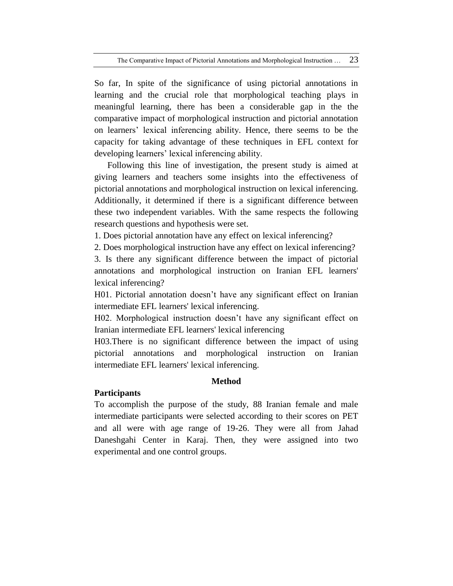So far, In spite of the significance of using pictorial annotations in learning and the crucial role that morphological teaching plays in meaningful learning, there has been a considerable gap in the the comparative impact of morphological instruction and pictorial annotation on learners' lexical inferencing ability. Hence, there seems to be the capacity for taking advantage of these techniques in EFL context for developing learners' lexical inferencing ability.

Following this line of investigation, the present study is aimed at giving learners and teachers some insights into the effectiveness of pictorial annotations and morphological instruction on lexical inferencing. Additionally, it determined if there is a significant difference between these two independent variables. With the same respects the following research questions and hypothesis were set.

1. Does pictorial annotation have any effect on lexical inferencing?

2. Does morphological instruction have any effect on lexical inferencing?

3. Is there any significant difference between the impact of pictorial annotations and morphological instruction on Iranian EFL learners' lexical inferencing?

H01. Pictorial annotation doesn't have any significant effect on Iranian intermediate EFL learners' lexical inferencing.

H02. Morphological instruction doesn't have any significant effect on Iranian intermediate EFL learners' lexical inferencing

H03.There is no significant difference between the impact of using pictorial annotations and morphological instruction on Iranian intermediate EFL learners' lexical inferencing.

# **Method**

# **Participants**

To accomplish the purpose of the study, 88 Iranian female and male intermediate participants were selected according to their scores on PET and all were with age range of 19-26. They were all from Jahad Daneshgahi Center in Karaj. Then, they were assigned into two experimental and one control groups.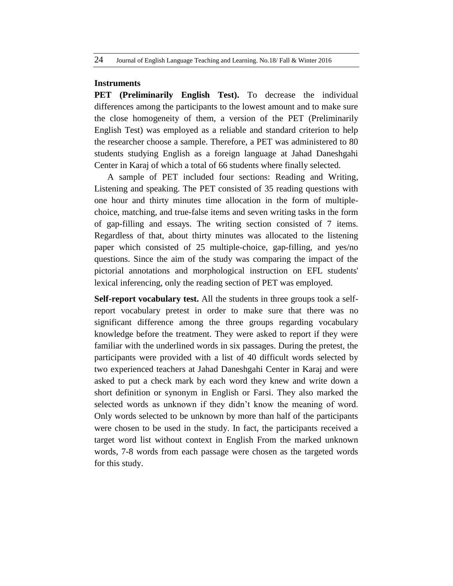### **Instruments**

**PET (Preliminarily English Test).** To decrease the individual differences among the participants to the lowest amount and to make sure the close homogeneity of them, a version of the PET (Preliminarily English Test) was employed as a reliable and standard criterion to help the researcher choose a sample. Therefore, a PET was administered to 80 students studying English as a foreign language at Jahad Daneshgahi Center in Karaj of which a total of 66 students where finally selected.

A sample of PET included four sections: Reading and Writing, Listening and speaking. The PET consisted of 35 reading questions with one hour and thirty minutes time allocation in the form of multiplechoice, matching, and true-false items and seven writing tasks in the form of gap-filling and essays. The writing section consisted of 7 items. Regardless of that, about thirty minutes was allocated to the listening paper which consisted of 25 multiple-choice, gap-filling, and yes/no questions. Since the aim of the study was comparing the impact of the pictorial annotations and morphological instruction on EFL students' lexical inferencing, only the reading section of PET was employed.

**Self-report vocabulary test.** All the students in three groups took a selfreport vocabulary pretest in order to make sure that there was no significant difference among the three groups regarding vocabulary knowledge before the treatment. They were asked to report if they were familiar with the underlined words in six passages. During the pretest, the participants were provided with a list of 40 difficult words selected by two experienced teachers at Jahad Daneshgahi Center in Karaj and were asked to put a check mark by each word they knew and write down a short definition or synonym in English or Farsi. They also marked the selected words as unknown if they didn't know the meaning of word. Only words selected to be unknown by more than half of the participants were chosen to be used in the study. In fact, the participants received a target word list without context in English From the marked unknown words, 7-8 words from each passage were chosen as the targeted words for this study.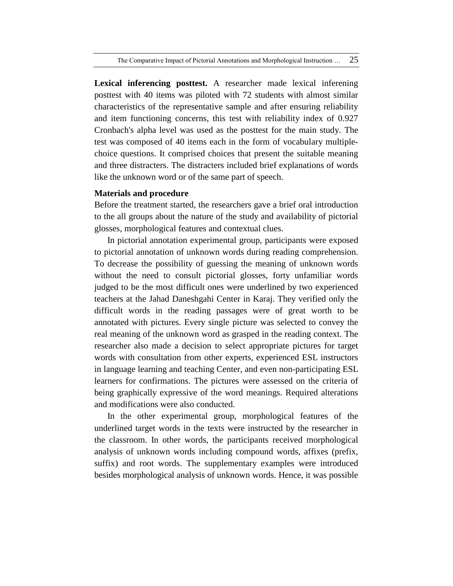**Lexical inferencing posttest.** A researcher made lexical inferening posttest with 40 items was piloted with 72 students with almost similar characteristics of the representative sample and after ensuring reliability and item functioning concerns, this test with reliability index of 0.927 Cronbach's alpha level was used as the posttest for the main study. The test was composed of 40 items each in the form of vocabulary multiplechoice questions. It comprised choices that present the suitable meaning and three distracters. The distracters included brief explanations of words like the unknown word or of the same part of speech.

## **Materials and procedure**

Before the treatment started, the researchers gave a brief oral introduction to the all groups about the nature of the study and availability of pictorial glosses, morphological features and contextual clues.

In pictorial annotation experimental group, participants were exposed to pictorial annotation of unknown words during reading comprehension. To decrease the possibility of guessing the meaning of unknown words without the need to consult pictorial glosses, forty unfamiliar words judged to be the most difficult ones were underlined by two experienced teachers at the Jahad Daneshgahi Center in Karaj. They verified only the difficult words in the reading passages were of great worth to be annotated with pictures. Every single picture was selected to convey the real meaning of the unknown word as grasped in the reading context. The researcher also made a decision to select appropriate pictures for target words with consultation from other experts, experienced ESL instructors in language learning and teaching Center, and even non-participating ESL learners for confirmations. The pictures were assessed on the criteria of being graphically expressive of the word meanings. Required alterations and modifications were also conducted.

In the other experimental group, morphological features of the underlined target words in the texts were instructed by the researcher in the classroom. In other words, the participants received morphological analysis of unknown words including compound words, affixes (prefix, suffix) and root words. The supplementary examples were introduced besides morphological analysis of unknown words. Hence, it was possible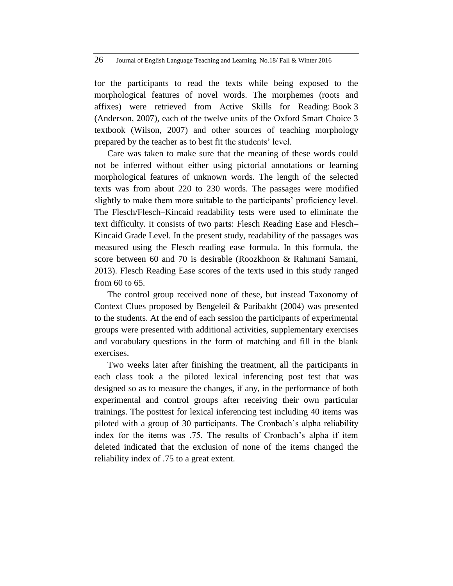for the participants to read the texts while being exposed to the morphological features of novel words. The morphemes (roots and affixes) were retrieved from Active Skills for Reading: Book 3 (Anderson, 2007), each of the twelve units of the Oxford Smart Choice 3 textbook (Wilson, 2007) and other sources of teaching morphology prepared by the teacher as to best fit the students' level.

Care was taken to make sure that the meaning of these words could not be inferred without either using pictorial annotations or learning morphological features of unknown words. The length of the selected texts was from about 220 to 230 words. The passages were modified slightly to make them more suitable to the participants' proficiency level. The Flesch/Flesch–Kincaid readability tests were used to eliminate the text difficulty. It consists of two parts: Flesch Reading Ease and Flesch– Kincaid Grade Level. In the present study, readability of the passages was measured using the Flesch reading ease formula. In this formula, the score between 60 and 70 is desirable (Roozkhoon & Rahmani Samani, 2013). Flesch Reading Ease scores of the texts used in this study ranged from 60 to 65.

The control group received none of these, but instead Taxonomy of Context Clues proposed by Bengeleil & Paribakht (2004) was presented to the students. At the end of each session the participants of experimental groups were presented with additional activities, supplementary exercises and vocabulary questions in the form of matching and fill in the blank exercises.

Two weeks later after finishing the treatment, all the participants in each class took a the piloted lexical inferencing post test that was designed so as to measure the changes, if any, in the performance of both experimental and control groups after receiving their own particular trainings. The posttest for lexical inferencing test including 40 items was piloted with a group of 30 participants. The Cronbach's alpha reliability index for the items was .75. The results of Cronbach's alpha if item deleted indicated that the exclusion of none of the items changed the reliability index of .75 to a great extent.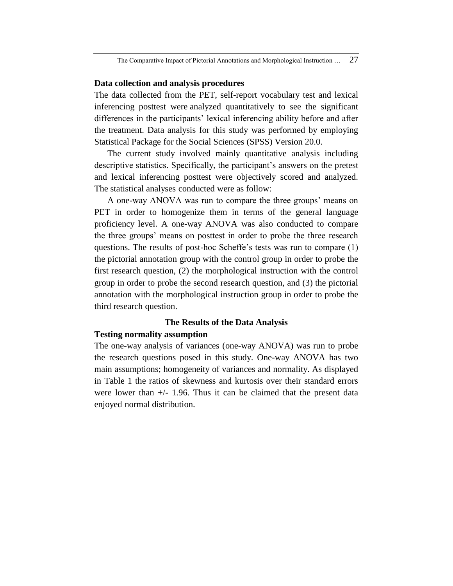#### **Data collection and analysis procedures**

The data collected from the PET, self-report vocabulary test and lexical inferencing posttest were analyzed quantitatively to see the significant differences in the participants' lexical inferencing ability before and after the treatment. Data analysis for this study was performed by employing Statistical Package for the Social Sciences (SPSS) Version 20.0.

The current study involved mainly quantitative analysis including descriptive statistics. Specifically, the participant's answers on the pretest and lexical inferencing posttest were objectively scored and analyzed. The statistical analyses conducted were as follow:

A one-way ANOVA was run to compare the three groups' means on PET in order to homogenize them in terms of the general language proficiency level. A one-way ANOVA was also conducted to compare the three groups' means on posttest in order to probe the three research questions. The results of post-hoc Scheffe's tests was run to compare (1) the pictorial annotation group with the control group in order to probe the first research question, (2) the morphological instruction with the control group in order to probe the second research question, and (3) the pictorial annotation with the morphological instruction group in order to probe the third research question.

## **The Results of the Data Analysis**

## **Testing normality assumption**

The one-way analysis of variances (one-way ANOVA) was run to probe the research questions posed in this study. One-way ANOVA has two main assumptions; homogeneity of variances and normality. As displayed in Table 1 the ratios of skewness and kurtosis over their standard errors were lower than  $+/- 1.96$ . Thus it can be claimed that the present data enjoyed normal distribution.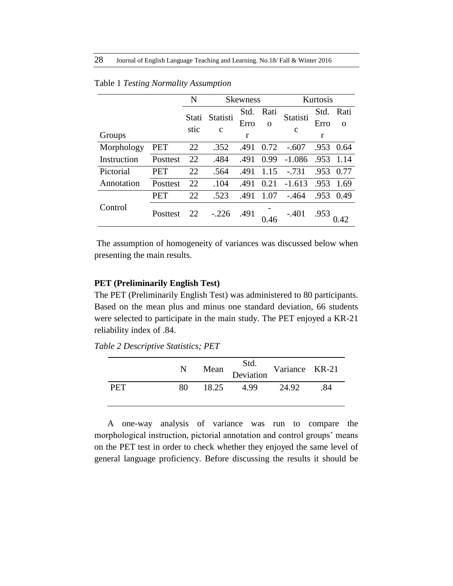|             |          | N     | <b>Skewness</b> |      | Kurtosis |             |      |           |
|-------------|----------|-------|-----------------|------|----------|-------------|------|-----------|
|             |          | Stati | Statisti        | Std. | Rati     | Statisti    |      | Std. Rati |
|             |          |       |                 | Erro | $\Omega$ |             | Erro | $\Omega$  |
| Groups      |          | stic  | $\mathbf c$     | r    |          | $\mathbf c$ | r    |           |
| Morphology  | PET      | 22    | .352            | .491 | 0.72     | $-.607$     | .953 | 0.64      |
| Instruction | Posttest | 22    | .484            | .491 | 0.99     | $-1.086$    | .953 | 1.14      |
| Pictorial   | PET      | 22    | .564            | .491 | 1.15     | $-731$      | .953 | 0.77      |
| Annotation  | Posttest | 22    | .104            | .491 | 0.21     | $-1.613$    | .953 | 1.69      |
|             | PET      | 22    | .523            | .491 | 1.07     | $-0.464$    | .953 | 0.49      |
| Control     | Posttest | 22    | $-.226$         | .491 | 0.46     | $-.401$     | .953 |           |

#### Table 1 *Testing Normality Assumption*

The assumption of homogeneity of variances was discussed below when presenting the main results.

### **PET (Preliminarily English Test)**

The PET (Preliminarily English Test) was administered to 80 participants. Based on the mean plus and minus one standard deviation, 66 students were selected to participate in the main study. The PET enjoyed a KR-21 reliability index of .84.

*Table 2 Descriptive Statistics; PET*

|     | N  |       | Std.<br>Mean Deviation v | Variance KR-21 |    |
|-----|----|-------|--------------------------|----------------|----|
| PFT | 80 | 18.25 | 4.99                     | 24.92          | 84 |

A one-way analysis of variance was run to compare the morphological instruction, pictorial annotation and control groups' means on the PET test in order to check whether they enjoyed the same level of general language proficiency. Before discussing the results it should be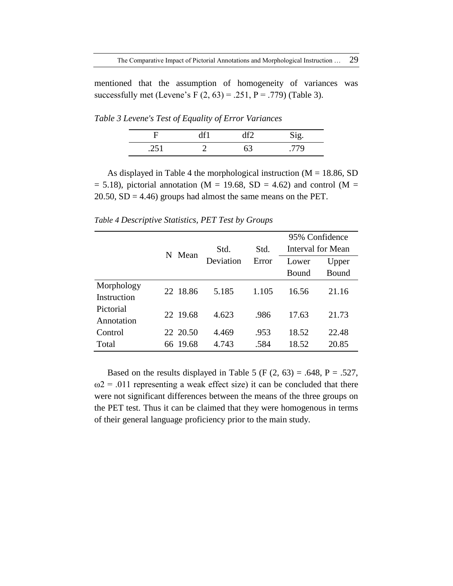mentioned that the assumption of homogeneity of variances was successfully met (Levene's F  $(2, 63) = .251$ , P = .779) (Table 3).

*Table 3 Levene's Test of Equality of Error Variances*

| н           |  |     |
|-------------|--|-----|
| 25<br>$-11$ |  | 770 |

As displayed in Table 4 the morphological instruction ( $M = 18.86$ , SD  $= 5.18$ ), pictorial annotation (M = 19.68, SD = 4.62) and control (M = 20.50,  $SD = 4.46$ ) groups had almost the same means on the PET.

*Table 4 Descriptive Statistics, PET Test by Groups*

|             |   |          |           |       | 95% Confidence |                   |
|-------------|---|----------|-----------|-------|----------------|-------------------|
|             | N |          | Std.      | Std.  |                | Interval for Mean |
|             |   | Mean     | Deviation | Error | Lower          | Upper             |
|             |   |          |           |       | Bound          | Bound             |
| Morphology  |   | 22 18.86 | 5.185     | 1.105 | 16.56          | 21.16             |
| Instruction |   |          |           |       |                |                   |
| Pictorial   |   | 22 19.68 | 4.623     | .986  | 17.63          | 21.73             |
| Annotation  |   |          |           |       |                |                   |
| Control     |   | 22 20.50 | 4.469     | .953  | 18.52          | 22.48             |
| Total       |   | 66 19.68 | 4.743     | .584  | 18.52          | 20.85             |

Based on the results displayed in Table 5 (F  $(2, 63) = .648$ , P = .527,  $\omega$ 2 = .011 representing a weak effect size) it can be concluded that there were not significant differences between the means of the three groups on the PET test. Thus it can be claimed that they were homogenous in terms of their general language proficiency prior to the main study.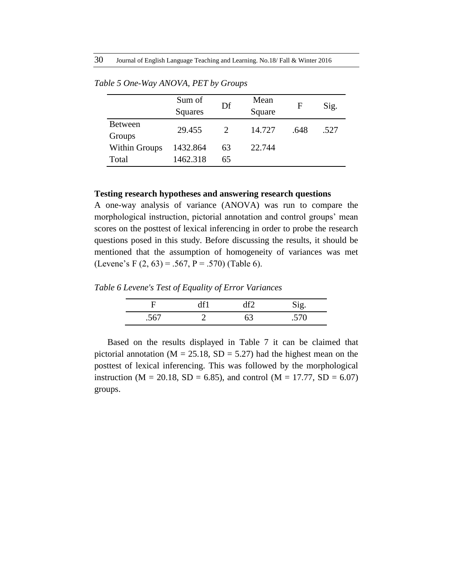|                          | Sum of<br>Squares | Df | Mean<br>Square | F    | Sig. |
|--------------------------|-------------------|----|----------------|------|------|
| <b>Between</b><br>Groups | 29.455            |    | 14.727         | .648 | .527 |
| Within Groups            | 1432.864          | 63 | 22.744         |      |      |
| Total                    | 1462.318          | 65 |                |      |      |

*Table 5 One-Way ANOVA, PET by Groups*

## **Testing research hypotheses and answering research questions**

A one-way analysis of variance (ANOVA) was run to compare the morphological instruction, pictorial annotation and control groups' mean scores on the posttest of lexical inferencing in order to probe the research questions posed in this study. Before discussing the results, it should be mentioned that the assumption of homogeneity of variances was met (Levene's F  $(2, 63) = .567$ , P = .570) (Table 6).

*Table 6 Levene's Test of Equality of Error Variances*

|      |    | $\Im$ i $\sigma$ |
|------|----|------------------|
| .567 | 63 | 570<br>$\sim$    |

Based on the results displayed in Table 7 it can be claimed that pictorial annotation ( $M = 25.18$ ,  $SD = 5.27$ ) had the highest mean on the posttest of lexical inferencing. This was followed by the morphological instruction (M = 20.18, SD = 6.85), and control (M = 17.77, SD = 6.07) groups.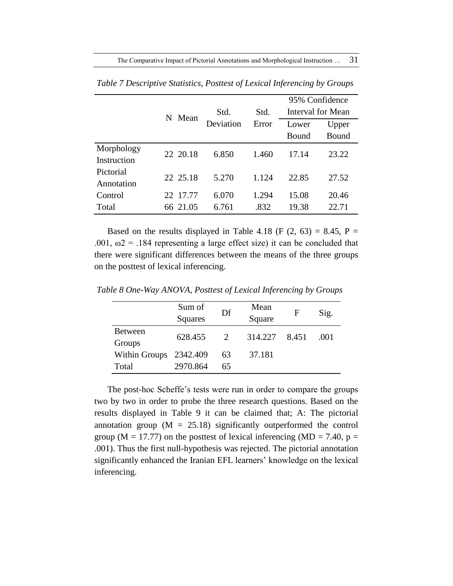The Comparative Impact of Pictorial Annotations and Morphological Instruction ... 31

|             |          |           |       | 95% Confidence |                   |  |
|-------------|----------|-----------|-------|----------------|-------------------|--|
|             | N Mean   | Std.      | Std.  |                | Interval for Mean |  |
|             |          | Deviation | Error | Lower          | Upper             |  |
|             |          |           |       | Bound          | Bound             |  |
| Morphology  | 22 20.18 | 6.850     | 1.460 | 17.14          | 23.22             |  |
| Instruction |          |           |       |                |                   |  |
| Pictorial   | 22 25.18 | 5.270     | 1.124 | 22.85          | 27.52             |  |
| Annotation  |          |           |       |                |                   |  |
| Control     | 22 17.77 | 6.070     | 1.294 | 15.08          | 20.46             |  |
| Total       | 66 21.05 | 6.761     | .832  | 19.38          | 22.71             |  |

*Table 7 Descriptive Statistics, Posttest of Lexical Inferencing by Groups*

Based on the results displayed in Table 4.18 (F  $(2, 63) = 8.45$ , P = .001,  $\omega$ 2 = .184 representing a large effect size) it can be concluded that there were significant differences between the means of the three groups on the posttest of lexical inferencing.

|                      | Sum of         | Df | Mean    | F     | Sig. |
|----------------------|----------------|----|---------|-------|------|
|                      | <b>Squares</b> |    | Square  |       |      |
| <b>Between</b>       | 628.455        | 2  | 314.227 | 8.451 | (001 |
| Groups               |                |    |         |       |      |
| <b>Within Groups</b> | 2342.409       | 63 | 37.181  |       |      |
| Total                | 2970.864       | 65 |         |       |      |

*Table 8 One-Way ANOVA, Posttest of Lexical Inferencing by Groups*

The post-hoc Scheffe's tests were run in order to compare the groups two by two in order to probe the three research questions. Based on the results displayed in Table 9 it can be claimed that; A: The pictorial annotation group  $(M = 25.18)$  significantly outperformed the control group ( $M = 17.77$ ) on the posttest of lexical inferencing ( $MD = 7.40$ , p = .001). Thus the first null-hypothesis was rejected. The pictorial annotation significantly enhanced the Iranian EFL learners' knowledge on the lexical inferencing.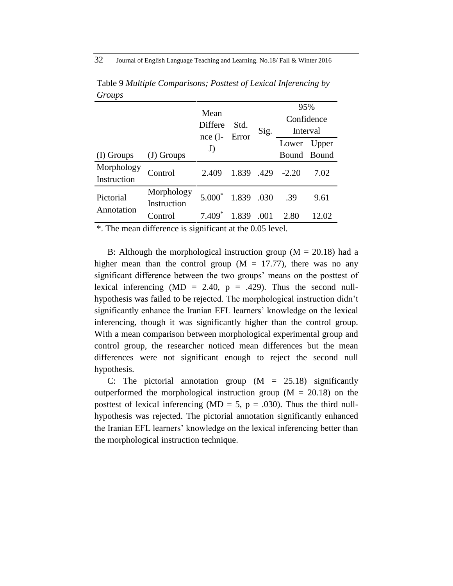|                           |                           |             |       |      | 95%        |             |  |
|---------------------------|---------------------------|-------------|-------|------|------------|-------------|--|
|                           |                           | Mean        |       |      | Confidence |             |  |
|                           |                           | Differe     | Std.  | Sig. | Interval   |             |  |
|                           |                           | nce(I<br>J) | Error |      | Lower      | Upper       |  |
| (I) Groups                | $(J)$ Groups              |             |       |      |            | Bound Bound |  |
| Morphology<br>Instruction | Control                   | 2.409       | 1.839 | .429 | $-2.20$    | 7.02        |  |
| Pictorial                 | Morphology<br>Instruction | $5.000*$    | 1.839 | .030 | .39        | 9.61        |  |
| Annotation                | Control                   | $7.409*$    | 1.839 | .001 | 2.80       | 12.02       |  |

Table 9 *Multiple Comparisons; Posttest of Lexical Inferencing by Groups*

\*. The mean difference is significant at the 0.05 level.

B: Although the morphological instruction group ( $M = 20.18$ ) had a higher mean than the control group  $(M = 17.77)$ , there was no any significant difference between the two groups' means on the posttest of lexical inferencing (MD = 2.40,  $p = .429$ ). Thus the second nullhypothesis was failed to be rejected. The morphological instruction didn't significantly enhance the Iranian EFL learners' knowledge on the lexical inferencing, though it was significantly higher than the control group. With a mean comparison between morphological experimental group and control group, the researcher noticed mean differences but the mean differences were not significant enough to reject the second null hypothesis.

C: The pictorial annotation group  $(M = 25.18)$  significantly outperformed the morphological instruction group ( $M = 20.18$ ) on the posttest of lexical inferencing (MD = 5,  $p = .030$ ). Thus the third nullhypothesis was rejected. The pictorial annotation significantly enhanced the Iranian EFL learners' knowledge on the lexical inferencing better than the morphological instruction technique.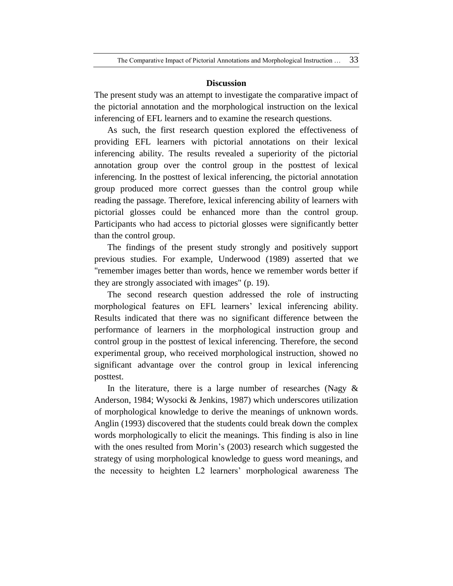### **Discussion**

The present study was an attempt to investigate the comparative impact of the pictorial annotation and the morphological instruction on the lexical inferencing of EFL learners and to examine the research questions.

As such, the first research question explored the effectiveness of providing EFL learners with pictorial annotations on their lexical inferencing ability. The results revealed a superiority of the pictorial annotation group over the control group in the posttest of lexical inferencing. In the posttest of lexical inferencing, the pictorial annotation group produced more correct guesses than the control group while reading the passage. Therefore, lexical inferencing ability of learners with pictorial glosses could be enhanced more than the control group. Participants who had access to pictorial glosses were significantly better than the control group.

The findings of the present study strongly and positively support previous studies. For example, Underwood (1989) asserted that we "remember images better than words, hence we remember words better if they are strongly associated with images" (p. 19).

The second research question addressed the role of instructing morphological features on EFL learners' lexical inferencing ability. Results indicated that there was no significant difference between the performance of learners in the morphological instruction group and control group in the posttest of lexical inferencing. Therefore, the second experimental group, who received morphological instruction, showed no significant advantage over the control group in lexical inferencing posttest.

In the literature, there is a large number of researches (Nagy  $\&$ Anderson, 1984; Wysocki & Jenkins, 1987) which underscores utilization of morphological knowledge to derive the meanings of unknown words. Anglin (1993) discovered that the students could break down the complex words morphologically to elicit the meanings. This finding is also in line with the ones resulted from Morin's (2003) research which suggested the strategy of using morphological knowledge to guess word meanings, and the necessity to heighten L2 learners' morphological awareness The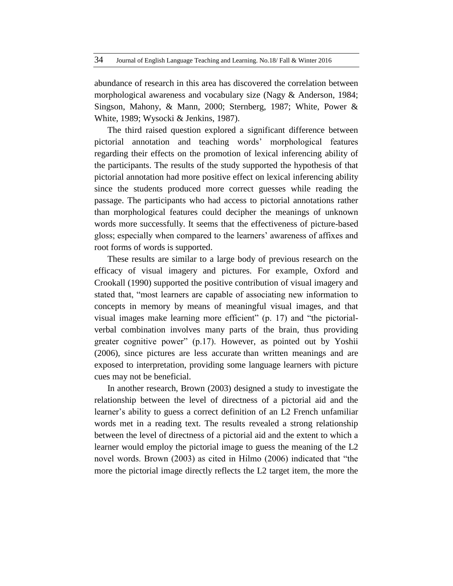abundance of research in this area has discovered the correlation between morphological awareness and vocabulary size (Nagy & Anderson, 1984; Singson, Mahony, & Mann, 2000; Sternberg, 1987; White, Power & White, 1989; Wysocki & Jenkins, 1987).

The third raised question explored a significant difference between pictorial annotation and teaching words' morphological features regarding their effects on the promotion of lexical inferencing ability of the participants. The results of the study supported the hypothesis of that pictorial annotation had more positive effect on lexical inferencing ability since the students produced more correct guesses while reading the passage. The participants who had access to pictorial annotations rather than morphological features could decipher the meanings of unknown words more successfully. It seems that the effectiveness of picture-based gloss; especially when compared to the learners' awareness of affixes and root forms of words is supported.

These results are similar to a large body of previous research on the efficacy of visual imagery and pictures. For example, Oxford and Crookall (1990) supported the positive contribution of visual imagery and stated that, "most learners are capable of associating new information to concepts in memory by means of meaningful visual images, and that visual images make learning more efficient" (p. 17) and "the pictorialverbal combination involves many parts of the brain, thus providing greater cognitive power" (p.17). However, as pointed out by Yoshii (2006), since pictures are less accurate than written meanings and are exposed to interpretation, providing some language learners with picture cues may not be beneficial.

In another research, Brown (2003) designed a study to investigate the relationship between the level of directness of a pictorial aid and the learner's ability to guess a correct definition of an L2 French unfamiliar words met in a reading text. The results revealed a strong relationship between the level of directness of a pictorial aid and the extent to which a learner would employ the pictorial image to guess the meaning of the L2 novel words. Brown (2003) as cited in Hilmo (2006) indicated that "the more the pictorial image directly reflects the L2 target item, the more the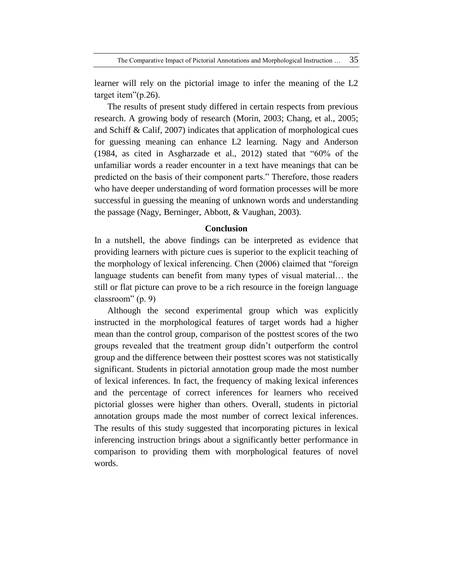The Comparative Impact of Pictorial Annotations and Morphological Instruction ... 35

learner will rely on the pictorial image to infer the meaning of the L2 target item"(p.26).

The results of present study differed in certain respects from previous research. A growing body of research (Morin, 2003; Chang, et al., 2005; and Schiff & Calif, 2007) indicates that application of morphological cues for guessing meaning can enhance L2 learning. Nagy and Anderson (1984, as cited in Asgharzade et al., 2012) stated that "60% of the unfamiliar words a reader encounter in a text have meanings that can be predicted on the basis of their component parts." Therefore, those readers who have deeper understanding of word formation processes will be more successful in guessing the meaning of unknown words and understanding the passage (Nagy, Berninger, Abbott, & Vaughan, 2003).

## **Conclusion**

In a nutshell, the above findings can be interpreted as evidence that providing learners with picture cues is superior to the explicit teaching of the morphology of lexical inferencing. Chen (2006) claimed that "foreign language students can benefit from many types of visual material… the still or flat picture can prove to be a rich resource in the foreign language classroom" (p. 9)

Although the second experimental group which was explicitly instructed in the morphological features of target words had a higher mean than the control group, comparison of the posttest scores of the two groups revealed that the treatment group didn't outperform the control group and the difference between their posttest scores was not statistically significant. Students in pictorial annotation group made the most number of lexical inferences. In fact, the frequency of making lexical inferences and the percentage of correct inferences for learners who received pictorial glosses were higher than others. Overall, students in pictorial annotation groups made the most number of correct lexical inferences. The results of this study suggested that incorporating pictures in lexical inferencing instruction brings about a significantly better performance in comparison to providing them with morphological features of novel words.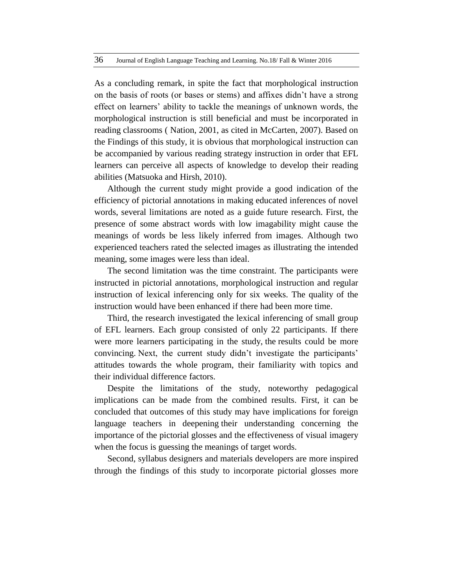As a concluding remark, in spite the fact that morphological instruction on the basis of roots (or bases or stems) and affixes didn't have a strong effect on learners' ability to tackle the meanings of unknown words, the morphological instruction is still beneficial and must be incorporated in reading classrooms ( Nation, 2001, as cited in McCarten, 2007). Based on the Findings of this study, it is obvious that morphological instruction can be accompanied by various reading strategy instruction in order that EFL learners can perceive all aspects of knowledge to develop their reading abilities (Matsuoka and Hirsh, 2010).

Although the current study might provide a good indication of the efficiency of pictorial annotations in making educated inferences of novel words, several limitations are noted as a guide future research. First, the presence of some abstract words with low imagability might cause the meanings of words be less likely inferred from images. Although two experienced teachers rated the selected images as illustrating the intended meaning, some images were less than ideal.

The second limitation was the time constraint. The participants were instructed in pictorial annotations, morphological instruction and regular instruction of lexical inferencing only for six weeks. The quality of the instruction would have been enhanced if there had been more time.

Third, the research investigated the lexical inferencing of small group of EFL learners. Each group consisted of only 22 participants. If there were more learners participating in the study, the results could be more convincing. Next, the current study didn't investigate the participants' attitudes towards the whole program, their familiarity with topics and their individual difference factors.

Despite the limitations of the study, noteworthy pedagogical implications can be made from the combined results. First, it can be concluded that outcomes of this study may have implications for foreign language teachers in deepening their understanding concerning the importance of the pictorial glosses and the effectiveness of visual imagery when the focus is guessing the meanings of target words.

Second, syllabus designers and materials developers are more inspired through the findings of this study to incorporate pictorial glosses more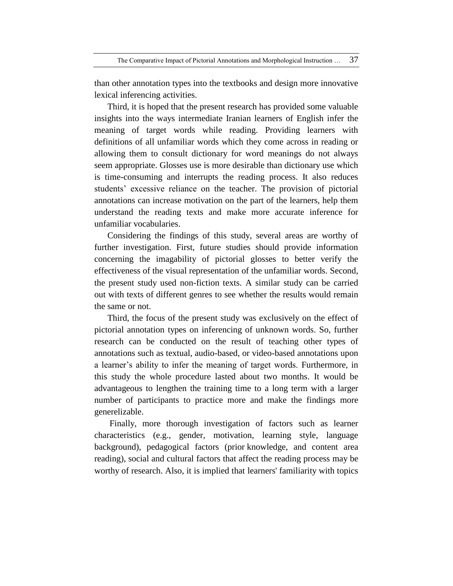The Comparative Impact of Pictorial Annotations and Morphological Instruction … 37

than other annotation types into the textbooks and design more innovative lexical inferencing activities.

Third, it is hoped that the present research has provided some valuable insights into the ways intermediate Iranian learners of English infer the meaning of target words while reading. Providing learners with definitions of all unfamiliar words which they come across in reading or allowing them to consult dictionary for word meanings do not always seem appropriate. Glosses use is more desirable than dictionary use which is time-consuming and interrupts the reading process. It also reduces students' excessive reliance on the teacher. The provision of pictorial annotations can increase motivation on the part of the learners, help them understand the reading texts and make more accurate inference for unfamiliar vocabularies.

Considering the findings of this study, several areas are worthy of further investigation. First, future studies should provide information concerning the imagability of pictorial glosses to better verify the effectiveness of the visual representation of the unfamiliar words. Second, the present study used non-fiction texts. A similar study can be carried out with texts of different genres to see whether the results would remain the same or not.

Third, the focus of the present study was exclusively on the effect of pictorial annotation types on inferencing of unknown words. So, further research can be conducted on the result of teaching other types of annotations such as textual, audio-based, or video-based annotations upon a learner's ability to infer the meaning of target words. Furthermore, in this study the whole procedure lasted about two months. It would be advantageous to lengthen the training time to a long term with a larger number of participants to practice more and make the findings more generelizable.

Finally, more thorough investigation of factors such as learner characteristics (e.g., gender, motivation, learning style, language background), pedagogical factors (prior knowledge, and content area reading), social and cultural factors that affect the reading process may be worthy of research. Also, it is implied that learners' familiarity with topics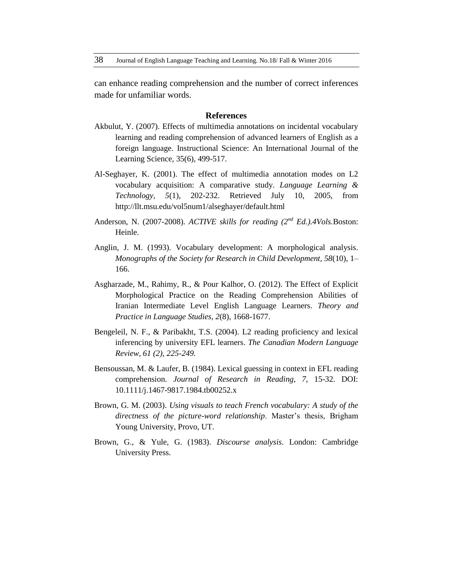can enhance reading comprehension and the number of correct inferences made for unfamiliar words.

#### **References**

- Akbulut, Y. (2007). Effects of multimedia annotations on incidental vocabulary learning and reading comprehension of advanced learners of English as a foreign language. Instructional Science: An International Journal of the Learning Science, 35(6), 499-517.
- Al-Seghayer, K. (2001). The effect of multimedia annotation modes on L2 vocabulary acquisition: A comparative study. *Language Learning & Technology, 5*(1), 202-232. Retrieved July 10, 2005, from <http://llt.msu.edu/vol5num1/alseghayer/default.html>
- Anderson, N. (2007-2008). *ACTIVE skills for reading (2nd Ed.).4Vols.*Boston: Heinle.
- Anglin, J. M. (1993). Vocabulary development: A morphological analysis. *Monographs of the Society for Research in Child Development, 58*(10), 1– 166.
- Asgharzade, M., Rahimy, R., & Pour Kalhor, O. (2012). The Effect of Explicit Morphological Practice on the Reading Comprehension Abilities of Iranian Intermediate Level English Language Learners. *Theory and Practice in Language Studies, 2*(8), 1668-1677.
- Bengeleil, N. F., & Paribakht, T.S. (2004). L2 reading proficiency and lexical inferencing by university EFL learners. *The Canadian Modern Language Review, 61 (2), 225-249.*
- Bensoussan, M. & Laufer, B. (1984). Lexical guessing in context in EFL reading comprehension. *Journal of Research in Reading*, *7*, 15-32. DOI: 10.1111/j.1467-9817.1984.tb00252.x
- Brown, G. M. (2003). *Using visuals to teach French vocabulary: A study of the directness of the picture-word relationship*. Master's thesis, Brigham Young University, Provo, UT.
- Brown, G., & Yule, G. (1983). *Discourse analysis*. London: Cambridge University Press.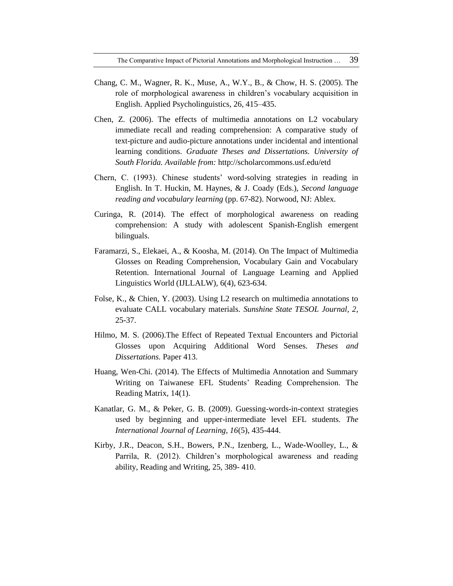The Comparative Impact of Pictorial Annotations and Morphological Instruction … 39

- Chang, C. M., Wagner, R. K., Muse, A., W.Y., B., & Chow, H. S. (2005). The role of morphological awareness in children's vocabulary acquisition in English. Applied Psycholinguistics, 26, 415–435.
- Chen, Z. (2006). The effects of multimedia annotations on L2 vocabulary immediate recall and reading comprehension: A comparative study of text-picture and audio-picture annotations under incidental and intentional learning conditions. *Graduate Theses and Dissertations. University of South Florida. Available from:* <http://scholarcommons.usf.edu/etd>
- Chern, C. (1993). Chinese students' word-solving strategies in reading in English. In T. Huckin, M. Haynes, & J. Coady (Eds.), *Second language reading and vocabulary learning* (pp. 67-82). Norwood, NJ: Ablex.
- Curinga, R. (2014). The effect of morphological awareness on reading comprehension: A study with adolescent Spanish-English emergent bilinguals.
- Faramarzi, S., Elekaei, A., & Koosha, M. (2014). On The Impact of Multimedia Glosses on Reading Comprehension, Vocabulary Gain and Vocabulary Retention. International Journal of Language Learning and Applied Linguistics World (IJLLALW), 6(4), 623-634.
- Folse, K., & Chien, Y. (2003). Using L2 research on multimedia annotations to evaluate CALL vocabulary materials. *Sunshine State TESOL Journal, 2*, 25-37.
- Hilmo, M. S. (2006).The Effect of Repeated Textual Encounters and Pictorial Glosses upon Acquiring Additional Word Senses. *Theses and Dissertations.* Paper 413.
- Huang, Wen-Chi. (2014). The Effects of Multimedia Annotation and Summary Writing on Taiwanese EFL Students' Reading Comprehension. The Reading Matrix, 14(1).
- Kanatlar, G. M., & Peker, G. B. (2009). Guessing-words-in-context strategies used by beginning and upper-intermediate level EFL students. *The International Journal of Learning, 16*(5), 435-444.
- Kirby, J.R., Deacon, S.H., Bowers, P.N., Izenberg, L., Wade-Woolley, L., & Parrila, R. (2012). Children's morphological awareness and reading ability, Reading and Writing, 25, 389- 410.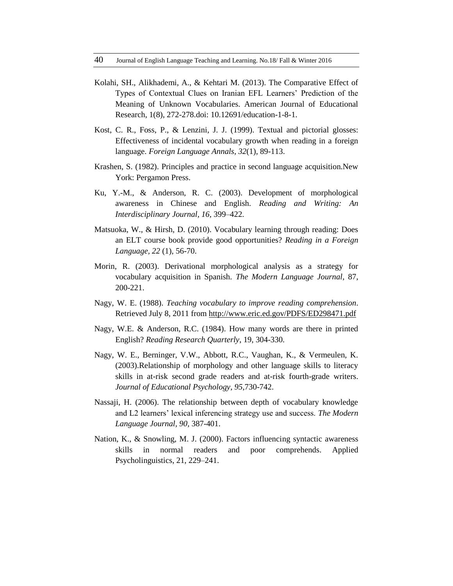- Kolahi, SH., Alikhademi, A., & Kehtari M. (2013). The Comparative Effect of Types of Contextual Clues on Iranian EFL Learners' Prediction of the Meaning of Unknown Vocabularies. American Journal of Educational Research, 1(8), 272-278.doi: 10.12691/education-1-8-1.
- Kost, C. R., Foss, P., & Lenzini, J. J. (1999). Textual and pictorial glosses: Effectiveness of incidental vocabulary growth when reading in a foreign language. *Foreign Language Annals, 32*(1), 89-113.
- Krashen, S. (1982). Principles and practice in second language acquisition.New York: Pergamon Press.
- Ku, Y.-M., & Anderson, R. C. (2003). Development of morphological awareness in Chinese and English. *Reading and Writing: An Interdisciplinary Journal, 16,* 399–422.
- Matsuoka, W., & Hirsh, D. (2010). Vocabulary learning through reading: Does an ELT course book provide good opportunities? *Reading in a Foreign Language, 22* (1), 56-70.
- Morin, R. (2003). Derivational morphological analysis as a strategy for vocabulary acquisition in Spanish. *The Modern Language Journal*, 87, 200-221.
- Nagy, W. E. (1988). *Teaching vocabulary to improve reading comprehension*. Retrieved July 8, 2011 from<http://www.eric.ed.gov/PDFS/ED298471.pdf>
- Nagy, W.E. & Anderson, R.C. (1984). How many words are there in printed English? *Reading Research Quarterly*, 19, 304-330.
- Nagy, W. E., Berninger, V.W., Abbott, R.C., Vaughan, K., & Vermeulen, K. (2003).Relationship of morphology and other language skills to literacy skills in at-risk second grade readers and at-risk fourth-grade writers. *Journal of Educational Psychology, 95,*730-742.
- Nassaji, H. (2006). The relationship between depth of vocabulary knowledge and L2 learners' lexical inferencing strategy use and success. *The Modern Language Journal, 90,* 387-401.
- Nation, K., & Snowling, M. J. (2000). Factors influencing syntactic awareness skills in normal readers and poor comprehends. Applied Psycholinguistics, 21, 229–241.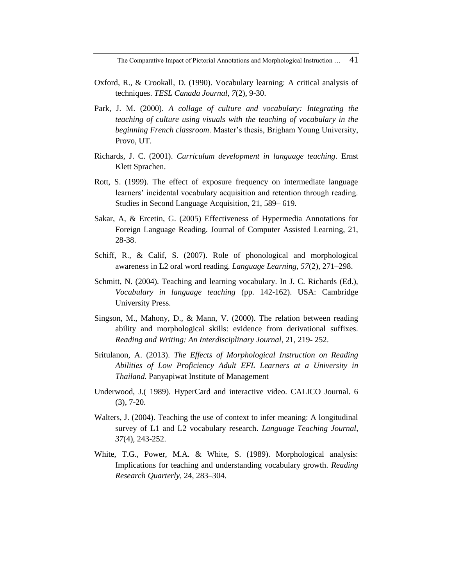The Comparative Impact of Pictorial Annotations and Morphological Instruction ... 41

- Oxford, R., & Crookall, D. (1990). Vocabulary learning: A critical analysis of techniques. *TESL Canada Journal, 7*(2), 9-30.
- Park, J. M. (2000). *A collage of culture and vocabulary: Integrating the teaching of culture using visuals with the teaching of vocabulary in the beginning French classroom*. Master's thesis, Brigham Young University, Provo, UT.
- Richards, J. C. (2001). *Curriculum development in language teaching*. Ernst Klett Sprachen.
- Rott, S. (1999). The effect of exposure frequency on intermediate language learners' incidental vocabulary acquisition and retention through reading. Studies in Second Language Acquisition, 21, 589– 619.
- Sakar, A, & Ercetin, G. (2005) Effectiveness of Hypermedia Annotations for Foreign Language Reading. Journal of Computer Assisted Learning, 21, 28-38.
- Schiff, R., & Calif, S. (2007). Role of phonological and morphological awareness in L2 oral word reading. *Language Learning, 57*(2), 271–298.
- Schmitt, N. (2004). Teaching and learning vocabulary. In J. C. Richards (Ed.), *Vocabulary in language teaching* (pp. 142-162). USA: Cambridge University Press.
- Singson, M., Mahony, D., & Mann, V. (2000). The relation between reading ability and morphological skills: evidence from derivational suffixes. *Reading and Writing: An Interdisciplinary Journal*, 21, 219- 252.
- Sritulanon, A. (2013). *The Effects of Morphological Instruction on Reading Abilities of Low Proficiency Adult EFL Learners at a University in Thailand.* Panyapiwat Institute of Management
- Underwood, J.( 1989). HyperCard and interactive video. CALICO Journal. 6 (3), 7-20.
- Walters, J. (2004). Teaching the use of context to infer meaning: A longitudinal survey of L1 and L2 vocabulary research. *Language Teaching Journal*, *37*(4), 243-252.
- White, T.G., Power, M.A. & White, S. (1989). Morphological analysis: Implications for teaching and understanding vocabulary growth. *Reading Research Quarterly,* 24, 283–304.